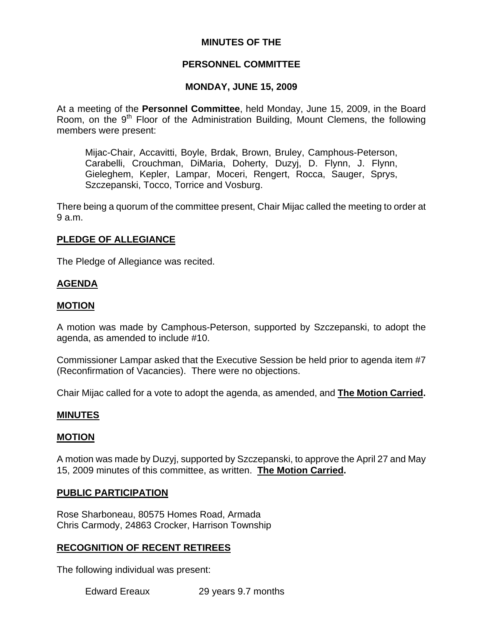# **MINUTES OF THE**

# **PERSONNEL COMMITTEE**

# **MONDAY, JUNE 15, 2009**

At a meeting of the **Personnel Committee**, held Monday, June 15, 2009, in the Board Room, on the 9<sup>th</sup> Floor of the Administration Building, Mount Clemens, the following members were present:

Mijac-Chair, Accavitti, Boyle, Brdak, Brown, Bruley, Camphous-Peterson, Carabelli, Crouchman, DiMaria, Doherty, Duzyj, D. Flynn, J. Flynn, Gieleghem, Kepler, Lampar, Moceri, Rengert, Rocca, Sauger, Sprys, Szczepanski, Tocco, Torrice and Vosburg.

There being a quorum of the committee present, Chair Mijac called the meeting to order at 9 a.m.

# **PLEDGE OF ALLEGIANCE**

The Pledge of Allegiance was recited.

# **AGENDA**

# **MOTION**

A motion was made by Camphous-Peterson, supported by Szczepanski, to adopt the agenda, as amended to include #10.

Commissioner Lampar asked that the Executive Session be held prior to agenda item #7 (Reconfirmation of Vacancies). There were no objections.

Chair Mijac called for a vote to adopt the agenda, as amended, and **The Motion Carried.** 

# **MINUTES**

# **MOTION**

A motion was made by Duzyj, supported by Szczepanski, to approve the April 27 and May 15, 2009 minutes of this committee, as written. **The Motion Carried.** 

#### **PUBLIC PARTICIPATION**

Rose Sharboneau, 80575 Homes Road, Armada Chris Carmody, 24863 Crocker, Harrison Township

# **RECOGNITION OF RECENT RETIREES**

The following individual was present:

Edward Ereaux 29 years 9.7 months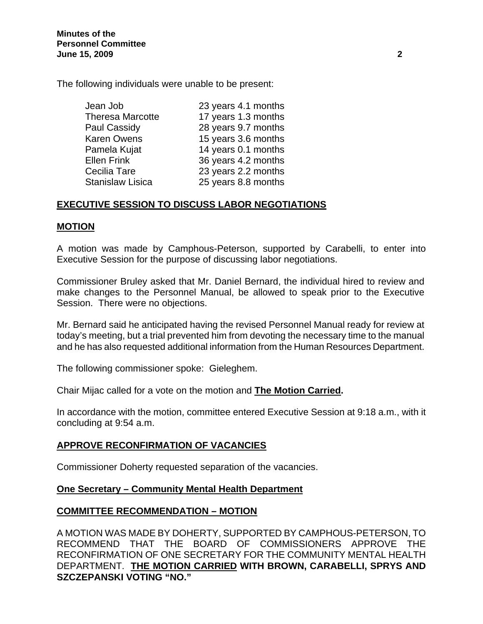The following individuals were unable to be present:

| Jean Job                | 23 years 4.1 months |
|-------------------------|---------------------|
| <b>Theresa Marcotte</b> | 17 years 1.3 months |
| Paul Cassidy            | 28 years 9.7 months |
| <b>Karen Owens</b>      | 15 years 3.6 months |
| Pamela Kujat            | 14 years 0.1 months |
| <b>Ellen Frink</b>      | 36 years 4.2 months |
| Cecilia Tare            | 23 years 2.2 months |
| <b>Stanislaw Lisica</b> | 25 years 8.8 months |
|                         |                     |

# **EXECUTIVE SESSION TO DISCUSS LABOR NEGOTIATIONS**

# **MOTION**

A motion was made by Camphous-Peterson, supported by Carabelli, to enter into Executive Session for the purpose of discussing labor negotiations.

Commissioner Bruley asked that Mr. Daniel Bernard, the individual hired to review and make changes to the Personnel Manual, be allowed to speak prior to the Executive Session. There were no objections.

Mr. Bernard said he anticipated having the revised Personnel Manual ready for review at today's meeting, but a trial prevented him from devoting the necessary time to the manual and he has also requested additional information from the Human Resources Department.

The following commissioner spoke: Gieleghem.

Chair Mijac called for a vote on the motion and **The Motion Carried.** 

In accordance with the motion, committee entered Executive Session at 9:18 a.m., with it concluding at 9:54 a.m.

# **APPROVE RECONFIRMATION OF VACANCIES**

Commissioner Doherty requested separation of the vacancies.

# **One Secretary – Community Mental Health Department**

# **COMMITTEE RECOMMENDATION – MOTION**

A MOTION WAS MADE BY DOHERTY, SUPPORTED BY CAMPHOUS-PETERSON, TO RECOMMEND THAT THE BOARD OF COMMISSIONERS APPROVE THE RECONFIRMATION OF ONE SECRETARY FOR THE COMMUNITY MENTAL HEALTH DEPARTMENT. **THE MOTION CARRIED WITH BROWN, CARABELLI, SPRYS AND SZCZEPANSKI VOTING "NO."**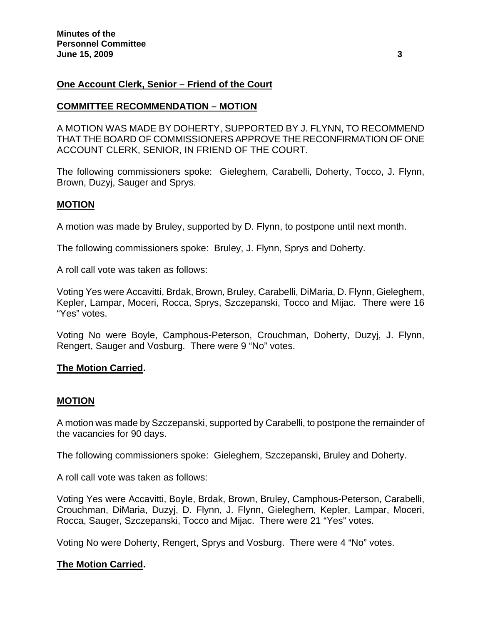# **One Account Clerk, Senior – Friend of the Court**

# **COMMITTEE RECOMMENDATION – MOTION**

A MOTION WAS MADE BY DOHERTY, SUPPORTED BY J. FLYNN, TO RECOMMEND THAT THE BOARD OF COMMISSIONERS APPROVE THE RECONFIRMATION OF ONE ACCOUNT CLERK, SENIOR, IN FRIEND OF THE COURT.

The following commissioners spoke: Gieleghem, Carabelli, Doherty, Tocco, J. Flynn, Brown, Duzyj, Sauger and Sprys.

# **MOTION**

A motion was made by Bruley, supported by D. Flynn, to postpone until next month.

The following commissioners spoke: Bruley, J. Flynn, Sprys and Doherty.

A roll call vote was taken as follows:

Voting Yes were Accavitti, Brdak, Brown, Bruley, Carabelli, DiMaria, D. Flynn, Gieleghem, Kepler, Lampar, Moceri, Rocca, Sprys, Szczepanski, Tocco and Mijac. There were 16 "Yes" votes.

Voting No were Boyle, Camphous-Peterson, Crouchman, Doherty, Duzyj, J. Flynn, Rengert, Sauger and Vosburg. There were 9 "No" votes.

#### **The Motion Carried.**

#### **MOTION**

A motion was made by Szczepanski, supported by Carabelli, to postpone the remainder of the vacancies for 90 days.

The following commissioners spoke: Gieleghem, Szczepanski, Bruley and Doherty.

A roll call vote was taken as follows:

Voting Yes were Accavitti, Boyle, Brdak, Brown, Bruley, Camphous-Peterson, Carabelli, Crouchman, DiMaria, Duzyj, D. Flynn, J. Flynn, Gieleghem, Kepler, Lampar, Moceri, Rocca, Sauger, Szczepanski, Tocco and Mijac. There were 21 "Yes" votes.

Voting No were Doherty, Rengert, Sprys and Vosburg. There were 4 "No" votes.

# **The Motion Carried.**